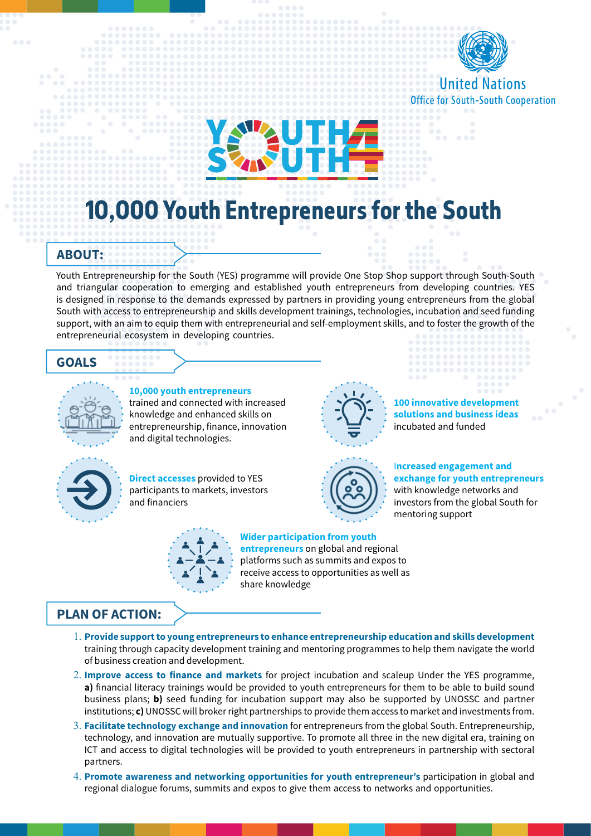

**Office for South-South Cooperation** 

# **10,000 Youth Entrepreneurs for the South**

## **:ABOUT**

Youth Entrepreneurship for the South (YES) programme will provide One Stop Shop support through South-South and triangular cooperation to emerging and established youth entrepreneurs from developing countries. YES is designed in response to the demands expressed by partners in providing young entrepreneurs from the global South with access to entrepreneurship and skills development trainings, technologies, incubation and seed funding support, with an aim to equip them with entrepreneurial and self-employment skills, and to foster the growth of the entrepreneurial ecosystem in developing countries.

## **GOALS**



## **10,000 youth entrepreneurs**

trained and connected with increased knowledge and enhanced skills on entrepreneurship, finance, innovation and digital technologies.





**100 innovative development solutions and business ideas** incubated and funded





#### **Wider participation from youth**

**entrepreneurs** on global and regional platforms such as summits and expos to receive access to opportunities as well as share knowledge

## **Increased engagement and exchange for youth entrepreneurs**

with knowledge networks and investors from the global South for mentoring support

## **PLAN OF ACTION:**

- **depetitive 1. Provide support to young entrepreneurs to enhance entrepreneurship education and skills development** training through capacity development training and mentoring programmes to help them navigate the world of business creation and development.
- 2. **Improve access to finance and markets** for project incubation and scaleup Under the YES programme, a) financial literacy trainings would be provided to youth entrepreneurs for them to be able to build sound business plans; **b**) seed funding for incubation support may also be supported by UNOSSC and partner institutions; c) UNOSSC will broker right partnerships to provide them access to market and investments from.
- 3. Facilitate technology exchange and innovation for entrepreneurs from the global South. Entrepreneurship, technology, and innovation are mutually supportive. To promote all three in the new digital era, training on ICT and access to digital technologies will be provided to youth entrepreneurs in partnership with sectoral .partners
- 4. Promote awareness and networking opportunities for youth entrepreneur's participation in global and regional dialogue forums, summits and expos to give them access to networks and opportunities.